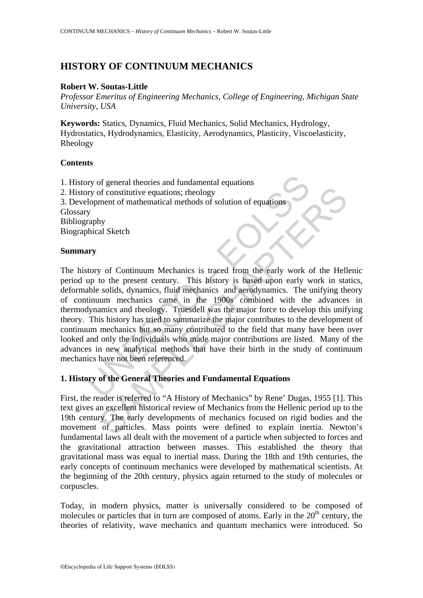# **HISTORY OF CONTINUUM MECHANICS**

## **Robert W. Soutas-Little**

*Professor Emeritus of Engineering Mechanics, College of Engineering, Michigan State University, USA*

**Keywords:** Statics, Dynamics, Fluid Mechanics, Solid Mechanics, Hydrology, Hydrostatics, Hydrodynamics, Elasticity, Aerodynamics, Plasticity, Viscoelasticity, Rheology

## **Contents**

1. History of general theories and fundamental equations 2. History of constitutive equations; rheology 3. Development of mathematical methods of solution of equations **Glossary** Bibliography Biographical Sketch

## **Summary**

In the state of the state of the state of the state of the state of the state of the state of the state of the state of the state of the state of the present century. This history is because the present century. This histo of constitutive equations; rheology<br>
ment of mathematical methods of solution of equations<br>
hy<br>
hy<br>
al Sketch<br>
to the present century. This history is based upon early work of the Hell<br>
to the present century. This history The history of Continuum Mechanics is traced from the early work of the Hellenic period up to the present century. This history is based upon early work in statics, deformable solids, dynamics, fluid mechanics and aerodynamics. The unifying theory of continuum mechanics came in the 1900s combined with the advances in thermodynamics and rheology. Truesdell was the major force to develop this unifying theory. This history has tried to summarize the major contributes to the development of continuum mechanics but so many contributed to the field that many have been over looked and only the individuals who made major contributions are listed. Many of the advances in new analytical methods that have their birth in the study of continuum mechanics have not been referenced.

# **1. History of the General Theories and Fundamental Equations**

First, the reader is referred to "A History of Mechanics" by Rene' Dugas, 1955 [1]. This text gives an excellent historical review of Mechanics from the Hellenic period up to the 19th century. The early developments of mechanics focused on rigid bodies and the movement of particles. Mass points were defined to explain inertia. Newton's fundamental laws all dealt with the movement of a particle when subjected to forces and the gravitational attraction between masses. This established the theory that gravitational mass was equal to inertial mass. During the 18th and 19th centuries, the early concepts of continuum mechanics were developed by mathematical scientists. At the beginning of the 20th century, physics again returned to the study of molecules or corpuscles.

Today, in modern physics, matter is universally considered to be composed of molecules or particles that in turn are composed of atoms. Early in the  $20<sup>th</sup>$  century, the theories of relativity, wave mechanics and quantum mechanics were introduced. So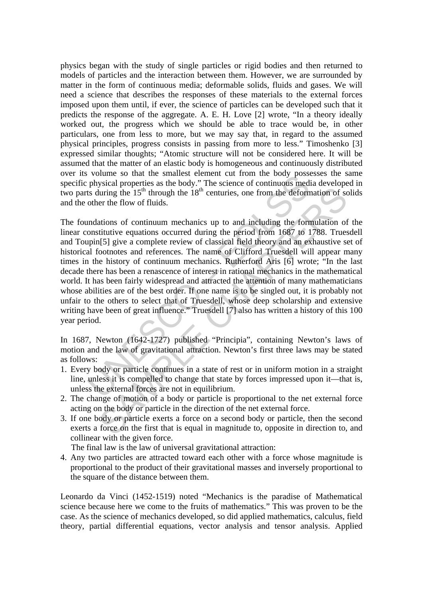physics began with the study of single particles or rigid bodies and then returned to models of particles and the interaction between them. However, we are surrounded by matter in the form of continuous media; deformable solids, fluids and gases. We will need a science that describes the responses of these materials to the external forces imposed upon them until, if ever, the science of particles can be developed such that it predicts the response of the aggregate. A. E. H. Love [2] wrote, "In a theory ideally worked out, the progress which we should be able to trace would be, in other particulars, one from less to more, but we may say that, in regard to the assumed physical principles, progress consists in passing from more to less." Timoshenko [3] expressed similar thoughts; "Atomic structure will not be considered here. It will be assumed that the matter of an elastic body is homogeneous and continuously distributed over its volume so that the smallest element cut from the body possesses the same specific physical properties as the body." The science of continuous media developed in two parts during the  $15<sup>th</sup>$  through the  $18<sup>th</sup>$  centuries, one from the deformation of solids and the other the flow of fluids.

volume so unat the sinulars element cut in the body possist<br>physical properties as the body." The science of continuous med<br>ts during the 15<sup>th</sup> through the 18<sup>th</sup> centuries, one from the deform<br>onstitutive equations of c buring the 15<sup>th</sup> through the 18<sup>th</sup> centuries, one from the deformation of sc<br>turing the 15<sup>th</sup> through the 18<sup>th</sup> centuries, one from the deformation of sc<br>er the flow of fluids.<br>ations of continuum mechanics up to and The foundations of continuum mechanics up to and including the formulation of the linear constitutive equations occurred during the period from 1687 to 1788. Truesdell and Toupin[5] give a complete review of classical field theory and an exhaustive set of historical footnotes and references. The name of Clifford Truesdell will appear many times in the history of continuum mechanics. Rutherford Aris [6] wrote; "In the last decade there has been a renascence of interest in rational mechanics in the mathematical world. It has been fairly widespread and attracted the attention of many mathematicians whose abilities are of the best order. If one name is to be singled out, it is probably not unfair to the others to select that of Truesdell, whose deep scholarship and extensive writing have been of great influence." Truesdell [7] also has written a history of this 100 year period.

In 1687, Newton (1642-1727) published "Principia", containing Newton's laws of motion and the law of gravitational attraction. Newton's first three laws may be stated as follows:

- 1. Every body or particle continues in a state of rest or in uniform motion in a straight line, unless it is compelled to change that state by forces impressed upon it—that is, unless the external forces are not in equilibrium.
- 2. The change of motion of a body or particle is proportional to the net external force acting on the body or particle in the direction of the net external force.
- 3. If one body or particle exerts a force on a second body or particle, then the second exerts a force on the first that is equal in magnitude to, opposite in direction to, and collinear with the given force.

The final law is the law of universal gravitational attraction:

4. Any two particles are attracted toward each other with a force whose magnitude is proportional to the product of their gravitational masses and inversely proportional to the square of the distance between them.

Leonardo da Vinci (1452-1519) noted "Mechanics is the paradise of Mathematical science because here we come to the fruits of mathematics." This was proven to be the case. As the science of mechanics developed, so did applied mathematics, calculus, field theory, partial differential equations, vector analysis and tensor analysis. Applied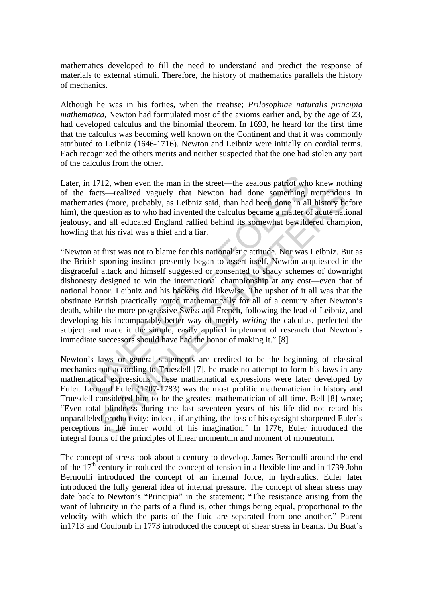mathematics developed to fill the need to understand and predict the response of materials to external stimuli. Therefore, the history of mathematics parallels the history of mechanics.

Although he was in his forties, when the treatise; *Prilosophiae naturalis principia mathematica,* Newton had formulated most of the axioms earlier and, by the age of 23, had developed calculus and the binomial theorem. In 1693, he heard for the first time that the calculus was becoming well known on the Continent and that it was commonly attributed to Leibniz (1646-1716). Newton and Leibniz were initially on cordial terms. Each recognized the others merits and neither suspected that the one had stolen any part of the calculus from the other.

Later, in 1712, when even the man in the street—the zealous patriot who knew nothing of the facts—realized vaguely that Newton had done something tremendous in mathematics (more, probably, as Leibniz said, than had been done in all history before him), the question as to who had invented the calculus became a matter of acute national jealousy, and all educated England rallied behind its somewhat bewildered champion, howling that his rival was a thief and a liar.

n 712, when even the man in the street—the zealous patriot whe<br>facts—realized vaguely that Newton had done something<br>atics (more, probably, as Leibniz said, than had been done in all<br>equestion as to who had invented the ca Ets—realized vaguely that Newton had done something tremendous<br>
Ets—realized vaguely that Newton had done something tremendous<br>
Ets—realized vaguely that Newton had done something tremendous<br>
Lets—realized vaguely that Ne "Newton at first was not to blame for this nationalistic attitude. Nor was Leibniz. But as the British sporting instinct presently began to assert itself, Newton acquiesced in the disgraceful attack and himself suggested or consented to shady schemes of downright dishonesty designed to win the international championship at any cost—even that of national honor. Leibniz and his backers did likewise. The upshot of it all was that the obstinate British practically rotted mathematically for all of a century after Newton's death, while the more progressive Swiss and French, following the lead of Leibniz, and developing his incomparably better way of merely *writing* the calculus, perfected the subject and made it the simple, easily applied implement of research that Newton's immediate successors should have had the honor of making it." [8]

Newton's laws or general statements are credited to be the beginning of classical mechanics but according to Truesdell [7], he made no attempt to form his laws in any mathematical expressions. These mathematical expressions were later developed by Euler. Leonard Euler (1707-1783) was the most prolific mathematician in history and Truesdell considered him to be the greatest mathematician of all time. Bell [8] wrote; "Even total blindness during the last seventeen years of his life did not retard his unparalleled productivity; indeed, if anything, the loss of his eyesight sharpened Euler's perceptions in the inner world of his imagination." In 1776, Euler introduced the integral forms of the principles of linear momentum and moment of momentum.

The concept of stress took about a century to develop. James Bernoulli around the end of the  $17<sup>th</sup>$  century introduced the concept of tension in a flexible line and in 1739 John Bernoulli introduced the concept of an internal force, in hydraulics. Euler later introduced the fully general idea of internal pressure. The concept of shear stress may date back to Newton's "Principia" in the statement; "The resistance arising from the want of lubricity in the parts of a fluid is, other things being equal, proportional to the velocity with which the parts of the fluid are separated from one another." Parent in1713 and Coulomb in 1773 introduced the concept of shear stress in beams. Du Buat's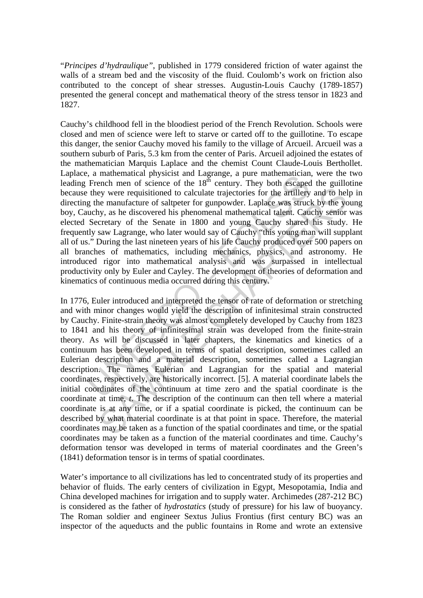"*Principes d'hydraulique"*, published in 1779 considered friction of water against the walls of a stream bed and the viscosity of the fluid. Coulomb's work on friction also contributed to the concept of shear stresses. Augustin-Louis Cauchy (1789-1857) presented the general concept and mathematical theory of the stress tensor in 1823 and 1827.

, a matematical mysischi and Lagrange, a pure matematical manifestation. French men of science of the 18<sup>th</sup> century. They both escapes they were requisitioned to calculate trajectories for the artillery g the manufacture Cauchy's childhood fell in the bloodiest period of the French Revolution. Schools were closed and men of science were left to starve or carted off to the guillotine. To escape this danger, the senior Cauchy moved his family to the village of Arcueil. Arcueil was a southern suburb of Paris, 5.3 km from the center of Paris. Arcueil adjoined the estates of the mathematician Marquis Laplace and the chemist Count Claude-Louis Berthollet. Laplace, a mathematical physicist and Lagrange, a pure mathematician, were the two leading French men of science of the  $18<sup>th</sup>$  century. They both escaped the guillotine because they were requisitioned to calculate trajectories for the artillery and to help in directing the manufacture of saltpeter for gunpowder. Laplace was struck by the young boy, Cauchy, as he discovered his phenomenal mathematical talent. Cauchy senior was elected Secretary of the Senate in 1800 and young Cauchy shared his study. He frequently saw Lagrange, who later would say of Cauchy "this young man will supplant all of us." During the last nineteen years of his life Cauchy produced over 500 papers on all branches of mathematics, including mechanics, physics, and astronomy. He introduced rigor into mathematical analysis and was surpassed in intellectual productivity only by Euler and Cayley. The development of theories of deformation and kinematics of continuous media occurred during this century.

by were requisitioned to calculate trajectories for the artillery and to hele manufacture of saltpeter for gumpowder. Laplace was struck by the year, as the discovered his phenomenal mathematical tantent. Catchly sentereta In 1776, Euler introduced and interpreted the tensor of rate of deformation or stretching and with minor changes would yield the description of infinitesimal strain constructed by Cauchy. Finite-strain theory was almost completely developed by Cauchy from 1823 to 1841 and his theory of infinitesimal strain was developed from the finite-strain theory. As will be discussed in later chapters, the kinematics and kinetics of a continuum has been developed in terms of spatial description, sometimes called an Eulerian description and a material description, sometimes called a Lagrangian description. The names Eulerian and Lagrangian for the spatial and material coordinates, respectively, are historically incorrect. [5]. A material coordinate labels the initial coordinates of the continuum at time zero and the spatial coordinate is the coordinate at time, *t*. The description of the continuum can then tell where a material coordinate is at any time, or if a spatial coordinate is picked, the continuum can be described by what material coordinate is at that point in space. Therefore, the material coordinates may be taken as a function of the spatial coordinates and time, or the spatial coordinates may be taken as a function of the material coordinates and time. Cauchy's deformation tensor was developed in terms of material coordinates and the Green's (1841) deformation tensor is in terms of spatial coordinates.

Water's importance to all civilizations has led to concentrated study of its properties and behavior of fluids. The early centers of civilization in Egypt, Mesopotamia, India and China developed machines for irrigation and to supply water. Archimedes (287-212 BC) is considered as the father of *hydrostatics* (study of pressure) for his law of buoyancy. The Roman soldier and engineer Sextus Julius Frontius (first century BC) was an inspector of the aqueducts and the public fountains in Rome and wrote an extensive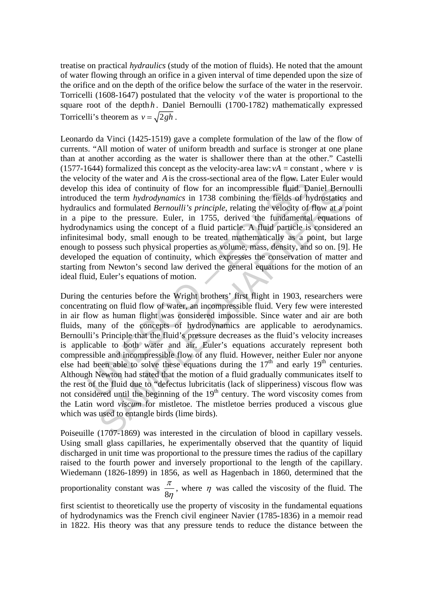treatise on practical *hydraulics* (study of the motion of fluids). He noted that the amount of water flowing through an orifice in a given interval of time depended upon the size of the orifice and on the depth of the orifice below the surface of the water in the reservoir. Torricelli (1608-1647) postulated that the velocity *v* of the water is proportional to the square root of the depth *h*. Daniel Bernoulli (1700-1782) mathematically expressed Torricelli's theorem as  $v = \sqrt{2gh}$ .

city of the water and A is the cross-sectional area of the flow. Lat<br>this idea of continuity of flow for an incompressible fluid. D.<br>eed the term *hydrodynamics* in 1738 combining the fields of h;<br>ics and formulated *Bern* Leonardo da Vinci (1425-1519) gave a complete formulation of the law of the flow of currents. "All motion of water of uniform breadth and surface is stronger at one plane than at another according as the water is shallower there than at the other." Castelli (1577-1644) formalized this concept as the velocity-area law:  $vA = constant$ , where *v* is the velocity of the water and *A* is the cross-sectional area of the flow. Later Euler would develop this idea of continuity of flow for an incompressible fluid. Daniel Bernoulli introduced the term *hydrodynamics* in 1738 combining the fields of hydrostatics and hydraulics and formulated *Bernoulli's principle*, relating the velocity of flow at a point in a pipe to the pressure. Euler, in 1755, derived the fundamental equations of hydrodynamics using the concept of a fluid particle. A fluid particle is considered an infinitesimal body, small enough to be treated mathematically as a point, but large enough to possess such physical properties as volume, mass, density, and so on. [9]. He developed the equation of continuity, which expresses the conservation of matter and starting from Newton's second law derived the general equations for the motion of an ideal fluid, Euler's equations of motion.

is idea of continuity of flow for an incompressible fluid. Daniel Bern<br>the term hydrodynamics in 1738 combining the fields of hydrostaties<br>and formulated *Bernoulli's principle*, relating the velocity of flow at a p<br>to th During the centuries before the Wright brothers' first flight in 1903, researchers were concentrating on fluid flow of water, an incompressible fluid. Very few were interested in air flow as human flight was considered impossible. Since water and air are both fluids, many of the concepts of hydrodynamics are applicable to aerodynamics. Bernoulli's Principle that the fluid's pressure decreases as the fluid's velocity increases is applicable to both water and air. Euler's equations accurately represent both compressible and incompressible flow of any fluid. However, neither Euler nor anyone else had been able to solve these equations during the  $17<sup>th</sup>$  and early  $19<sup>th</sup>$  centuries. Although Newton had stated that the motion of a fluid gradually communicates itself to the rest of the fluid due to "defectus lubricitatis (lack of slipperiness) viscous flow was not considered until the beginning of the  $19<sup>th</sup>$  century. The word viscosity comes from the Latin word *viscum* for mistletoe. The mistletoe berries produced a viscous glue which was used to entangle birds (lime birds).

Poiseuille (1707-1869) was interested in the circulation of blood in capillary vessels. Using small glass capillaries, he experimentally observed that the quantity of liquid discharged in unit time was proportional to the pressure times the radius of the capillary raised to the fourth power and inversely proportional to the length of the capillary. Wiedemann (1826-1899) in 1856, as well as Hagenbach in 1860, determined that the

proportionality constant was  $\frac{\pi}{8}$ η , where  $\eta$  was called the viscosity of the fluid. The

first scientist to theoretically use the property of viscosity in the fundamental equations of hydrodynamics was the French civil engineer Navier (1785-1836) in a memoir read in 1822. His theory was that any pressure tends to reduce the distance between the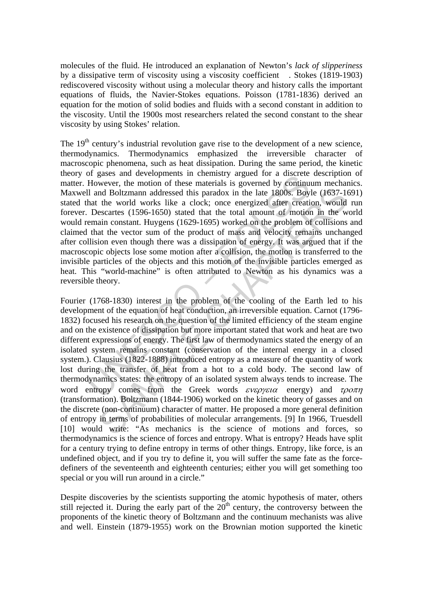molecules of the fluid. He introduced an explanation of Newton's *lack of slipperiness* by a dissipative term of viscosity using a viscosity coefficient . Stokes (1819-1903) rediscovered viscosity without using a molecular theory and history calls the important equations of fluids, the Navier-Stokes equations. Poisson (1781-1836) derived an equation for the motion of solid bodies and fluids with a second constant in addition to the viscosity. Until the 1900s most researchers related the second constant to the shear viscosity by using Stokes' relation.

If  $\mu$  absess and usevapline in the means are allowed to dust the Homeoptem However, the motion of these materials is governed by continual II and Boltzmann addressed this paradox in the late 1800s. Boy hat the world wor The  $19<sup>th</sup>$  century's industrial revolution gave rise to the development of a new science, thermodynamics. Thermodynamics emphasized the irreversible character of macroscopic phenomena, such as heat dissipation. During the same period, the kinetic theory of gases and developments in chemistry argued for a discrete description of matter. However, the motion of these materials is governed by continuum mechanics. Maxwell and Boltzmann addressed this paradox in the late 1800s. Boyle (1637-1691) stated that the world works like a clock; once energized after creation, would run forever. Descartes (1596-1650) stated that the total amount of motion in the world would remain constant. Huygens (1629-1695) worked on the problem of collisions and claimed that the vector sum of the product of mass and velocity remains unchanged after collision even though there was a dissipation of energy. It was argued that if the macroscopic objects lose some motion after a collision, the motion is transferred to the invisible particles of the objects and this motion of the invisible particles emerged as heat. This "world-machine" is often attributed to Newton as his dynamics was a reversible theory.

and Boltzmann addressed this paradox in the late 1800s. Boyle (1637-1<br>the world works like a clock; once energized after creation. would<br>essecrates (1596-1650) stated that the total amount of motion in the we<br>same aid mon Fourier (1768-1830) interest in the problem of the cooling of the Earth led to his development of the equation of heat conduction, an irreversible equation. Carnot (1796- 1832) focused his research on the question of the limited efficiency of the steam engine and on the existence of dissipation but more important stated that work and heat are two different expressions of energy. The first law of thermodynamics stated the energy of an isolated system remains constant (conservation of the internal energy in a closed system.). Clausius (1822-1888) introduced entropy as a measure of the quantity of work lost during the transfer of heat from a hot to a cold body. The second law of thermodynamics states: the entropy of an isolated system always tends to increase. The word entropy comes from the Greek words  $\epsilon v \epsilon \rho y \epsilon t \alpha$  energy) and  $\tau \rho \sigma \pi \eta$ (transformation). Boltzmann (1844-1906) worked on the kinetic theory of gasses and on the discrete (non-continuum) character of matter. He proposed a more general definition of entropy in terms of probabilities of molecular arrangements. [9] In 1966, Truesdell [10] would write: "As mechanics is the science of motions and forces, so thermodynamics is the science of forces and entropy. What is entropy? Heads have split for a century trying to define entropy in terms of other things. Entropy, like force, is an undefined object, and if you try to define it, you will suffer the same fate as the forcedefiners of the seventeenth and eighteenth centuries; either you will get something too special or you will run around in a circle."

Despite discoveries by the scientists supporting the atomic hypothesis of mater, others still rejected it. During the early part of the  $20<sup>th</sup>$  century, the controversy between the proponents of the kinetic theory of Boltzmann and the continuum mechanists was alive and well. Einstein (1879-1955) work on the Brownian motion supported the kinetic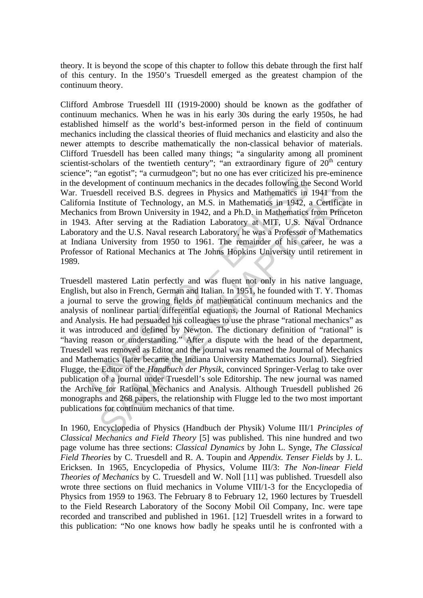theory. It is beyond the scope of this chapter to follow this debate through the first half of this century. In the 1950's Truesdell emerged as the greatest champion of the continuum theory.

Clifford Ambrose Truesdell III (1919-2000) should be known as the godfather of continuum mechanics. When he was in his early 30s during the early 1950s, he had established himself as the world's best-informed person in the field of continuum mechanics including the classical theories of fluid mechanics and elasticity and also the newer attempts to describe mathematically the non-classical behavior of materials. Clifford Truesdell has been called many things; "a singularity among all prominent scientist-scholars of the twentieth century"; "an extraordinary figure of  $20<sup>th</sup>$  century science"; "an egotist"; "a curmudgeon"; but no one has ever criticized his pre-eminence in the development of continuum mechanics in the decades following the Second World War. Truesdell received B.S. degrees in Physics and Mathematics in 1941 from the California Institute of Technology, an M.S. in Mathematics in 1942, a Certificate in Mechanics from Brown University in 1942, and a Ph.D. in Mathematics from Princeton in 1943. After serving at the Radiation Laboratory at MIT, U.S. Naval Ordnance Laboratory and the U.S. Naval research Laboratory, he was a Professor of Mathematics at Indiana University from 1950 to 1961. The remainder of his career, he was a Professor of Rational Mechanics at The Johns Hopkins University until retirement in 1989.

, an egoust  $\cdot$ , a cumunogeon , sud not mas ever cinctized in<br>evelopment of continuum mechanics in the decades following the<br>ruesdell received B.S. degrees in Physics and Mathematics in<br>in Institute of Technology, an M.S stell received B.S. degrees in Physics and Mathematics in 1941 from Institute of Technology, an M.S. in Mathematics in 1942, a Certificat from Brown University in 1942, and a Ph.D. in Mathematics for mPfrinc from From Chap Truesdell mastered Latin perfectly and was fluent not only in his native language, English, but also in French, German and Italian. In 1951, he founded with T. Y. Thomas a journal to serve the growing fields of mathematical continuum mechanics and the analysis of nonlinear partial differential equations, the Journal of Rational Mechanics and Analysis. He had persuaded his colleagues to use the phrase "rational mechanics" as it was introduced and defined by Newton. The dictionary definition of "rational" is "having reason or understanding." After a dispute with the head of the department, Truesdell was removed as Editor and the journal was renamed the Journal of Mechanics and Mathematics (later became the Indiana University Mathematics Journal). Siegfried Flugge, the Editor of the *Handbuch der Physik*, convinced Springer-Verlag to take over publication of a journal under Truesdell's sole Editorship. The new journal was named the Archive for Rational Mechanics and Analysis. Although Truesdell published 26 monographs and 268 papers, the relationship with Flugge led to the two most important publications for continuum mechanics of that time.

In 1960, Encyclopedia of Physics (Handbuch der Physik) Volume III/1 *Principles of Classical Mechanics and Field Theory* [5] was published. This nine hundred and two page volume has three sections: *Classical Dynamics* by John L. Synge, *The Classical Field Theories* by C. Truesdell and R. A. Toupin and *Appendix. Tenser Fields* by J. L. Ericksen. In 1965, Encyclopedia of Physics, Volume III/3: *The Non-linear Field Theories of Mechanics* by C. Truesdell and W. Noll [11] was published. Truesdell also wrote three sections on fluid mechanics in Volume VIII/1-3 for the Encyclopedia of Physics from 1959 to 1963. The February 8 to February 12, 1960 lectures by Truesdell to the Field Research Laboratory of the Socony Mobil Oil Company, Inc. were tape recorded and transcribed and published in 1961. [12] Truesdell writes in a forward to this publication: "No one knows how badly he speaks until he is confronted with a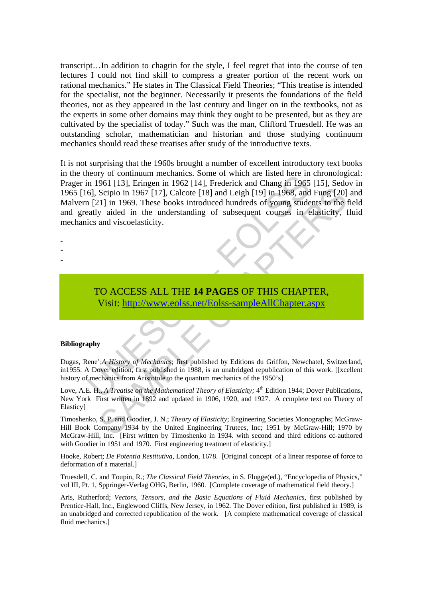transcript…In addition to chagrin for the style, I feel regret that into the course of ten lectures I could not find skill to compress a greater portion of the recent work on rational mechanics." He states in The Classical Field Theories; "This treatise is intended for the specialist, not the beginner. Necessarily it presents the foundations of the field theories, not as they appeared in the last century and linger on in the textbooks, not as the experts in some other domains may think they ought to be presented, but as they are cultivated by the specialist of today." Such was the man, Clifford Truesdell. He was an outstanding scholar, mathematician and historian and those studying continuum mechanics should read these treatises after study of the introductive texts.

Example of the mindten inerclaims. Some of which are instead interesting<br>in 1961 [13], Eringen in 1962 [14], Frederick and Chang in 1965<br>6], Scipio in 1967 [17], Calcote [18] and Leigh [19] in 1968, and<br>121] in 1969. These Scipio in 1967 [17], Calcote [18] and Leigh [19] in 1968, and Fung [20]<br>
Scipio in 1967 [17], Calcote [18] and Leigh [19] in 1968, and Fung [20]<br>
21] in 1969. These books introduced hundreds of young students to the<br>
y ai It is not surprising that the 1960s brought a number of excellent introductory text books in the theory of continuum mechanics. Some of which are listed here in chronological: Prager in 1961 [13], Eringen in 1962 [14], Frederick and Chang in 1965 [15], Sedov in 1965 [16], Scipio in 1967 [17], Calcote [18] and Leigh [19] in 1968, and Fung [20] and Malvern [21] in 1969. These books introduced hundreds of young students to the field and greatly aided in the understanding of subsequent courses in elasticity, fluid mechanics and viscoelasticity.

- -
- -
- -
- TO ACCESS ALL THE **14 PAGES** OF THIS CHAPTER, Visit: http://www.eolss.net/Eolss-sampleAllChapter.aspx

### **Bibliography**

Dugas, Rene';*A History of Mechanics*; first published by Editions du Griffon, Newchatel, Switzerland, in1955. A Dover edition, first published in 1988, is an unabridged republication of this work. [[xcellent history of mechanics from Aristotole to the quantum mechanics of the 1950's]

Love, A.E. H., *A Treatise on the Mathematical Theory of Elasticity*; <sup>4th</sup> Edition 1944; Dover Publications, New York First written in 1892 and updated in 1906, 1920, and 1927. A ccmplete text on Theory of Elasticy]

Timoshenko, S. P. and Goodier, J. N.; *Theory of Elasticity*; Engineering Societies Monographs; McGraw-Hill Book Company 1934 by the United Engineering Trutees, Inc; 1951 by McGraw-Hill; 1970 by McGraw-Hill, Inc. [First written by Timoshenko in 1934. with second and third editions cc-authored with Goodier in 1951 and 1970. First engineering treatment of elasticity.]

Hooke, Robert; *De Potentia Restitutiva*, London, 1678. [Original concept of a linear response of force to deformation of a material.]

Truesdell, C. and Toupin, R.; *The Classical Field Theories,* in S. Flugge(ed.), "Encyclopedia of Physics," vol III, Pt. 1, Sppringer-Verlag OHG, Berlin, 1960. [Complete coverage of mathematical field theory.]

Aris, Rutherford; *Vectors, Tensors, and the Basic Equations of Fluid Mechanics*, first published by Prentice-Hall, Inc., Englewood Cliffs, New Jersey, in 1962. The Dover edition, first published in 1989, is an unabridged and corrected republication of the work. [A complete mathematical coverage of classical fluid mechanics.]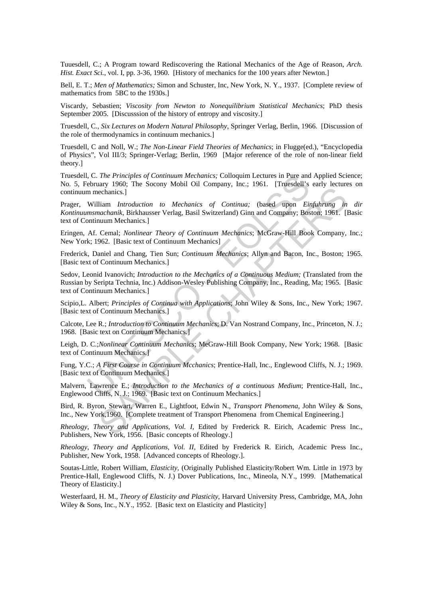Tuuesdell, C.; A Program toward Rediscovering the Rational Mechanics of the Age of Reason, *Arch. Hist. Exact Sci.*, vol. I, pp. 3-36, 1960. [History of mechanics for the 100 years after Newton.]

Bell, E. T.; *Men of Mathematics;* Simon and Schuster, Inc, New York, N. Y., 1937. [Complete review of mathematics from 5BC to the 1930s.]

Viscardy, Sebastien; *Viscosity from Newton to Nonequilibrium Statistical Mechanics*; PhD thesis September 2005. [Discusssion of the history of entropy and viscosity.]

Truesdell, C., *Six Lectures on Modern Natural Philosophy*, Springer Verlag, Berlin, 1966. [Discussion of the role of thermodynamics in continuum mechanics.]

Truesdell, C and Noll, W.; *The Non-Linear Field Theories of Mechanics*; in Flugge(ed.), "Encyclopedia of Physics", Vol III/3; Springer-Verlag; Berlin, 1969 [Major reference of the role of non-linear field theory.]

Truesdell, C. *The Principles of Continuum Mechanics;* Colloquim Lectures in Pure and Applied Science; No. 5, February 1960; The Socony Mobil Oil Company, Inc.; 1961. [Truesdell's early lectures on continuum mechanics.]

(C. The Principles of Continuum Mechanics; Colloquim Lectures in Pure and<br>ebruary 1960; The Socony Mobil Oil Company, Inc.; 1961. [Truesdell's<br>n mechanics.]<br>William Introduction to Mechanics of Continua; (based upon Ein<br>ms nary Northern The Mechanics of Continual, the Solit Lindson 2 outry research and the principal in Introduction to Mechanics of Continual; (based upon Einfulning in the Mechanics Verlag, Basil Switzerland) Ginn and Company; Prager, William *Introduction to Mechanics of Continua;* (based upon *Einfuhrung in dir Kontinuumsmachanik*, Birkhausser Verlag, Basil Switzerland) Ginn and Company; Boston; 1961. [Basic text of Continuum Mechanics.]

Eringen, Af. Cemal; *Nonlinear Theory of Continuum Mechanics*; McGraw-Hill Book Company, Inc.; New York; 1962. [Basic text of Continuum Mechanics]

Frederick, Daniel and Chang, Tien Sun; *Continuum Mechanics*; Allyn and Bacon, Inc., Boston; 1965. [Basic text of Continuum Mechanics.]

Sedov, Leonid Ivanovich; *Introduction to the Mechanics of a Continuous Medium;* (Translated from the Russian by Seripta Technia, Inc.) Addison-Wesley Publishing Company, Inc., Reading, Ma; 1965. [Basic text of Continuum Mechanics.]

Scipio,L. Albert; *Principles of Continua with Applications*; John Wiley & Sons, Inc., New York; 1967. [Basic text of Continuum Mechanics.]

Calcote, Lee R.; *Introduction to Continuum Mechanics*; D. Van Nostrand Company, Inc., Princeton, N. J.; 1968. [Basic text on Continuum Mechanics.]

Leigh, D. C.;*Nonlinear Continuum Mechanics*; MeGraw-Hill Book Company, New York; 1968. [Basic text of Continuum Mechanics.]

Fung, Y.C.; *A First Course in Continuum Mcchanics*; Prentice-Hall, Inc., Englewood Cliffs, N. J.; 1969. [Basic text of Continuum Mechanics.]

Malvern, Lawrence E.; *Introduction to the Mechanics of a continuous Medium*; Prentice-Hall, Inc., Englewood Cliffs, N. J.; 1969. [Basic text on Continuum Mechanics.]

Bird, R. Byron, Stewart, Warren E., Lightfoot, Edwin N., *Transport Phenomena*, John Wiley & Sons, Inc., New York,1960. [Complete treatment of Transport Phenomena from Chemical Engineering.]

*Rheology, Theory and Applications, Vol. I,* Edited by Frederick R. Eirich, Academic Press Inc., Publishers, New York, 1956. [Basic concepts of Rheology.]

*Rheology, Theory and Applications, Vol. II,* Edited by Frederick R. Eirich, Academic Press Inc., Publisher, New York, 1958. [Advanced concepts of Rheology.].

Soutas-Little, Robert William, *Elasticity*, (Originally Published Elasticity/Robert Wm. Little in 1973 by Prentice-Hall, Englewood Cliffs, N. J.) Dover Publications, Inc., Mineola, N.Y., 1999. [Mathematical Theory of Elasticity.]

Westerfaard, H. M., *Theory of Elasticity and Plasticity*, Harvard University Press, Cambridge, MA, John Wiley & Sons, Inc., N.Y., 1952. [Basic text on Elasticity and Plasticity]